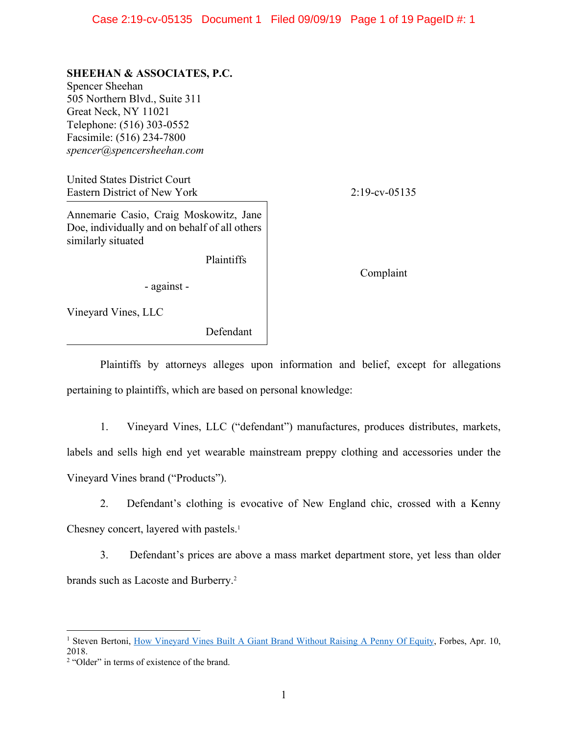# **SHEEHAN & ASSOCIATES, P.C.**

Spencer Sheehan 505 Northern Blvd., Suite 311 Great Neck, NY 11021 Telephone: (516) 303-0552 Facsimile: (516) 234-7800 *spencer@spencersheehan.com* 

United States District Court Eastern District of New York 2:19-cv-05135

Annemarie Casio, Craig Moskowitz, Jane Doe, individually and on behalf of all others similarly situated

Plaintiffs

Complaint

- against -

Vineyard Vines, LLC

Defendant

Plaintiffs by attorneys alleges upon information and belief, except for allegations pertaining to plaintiffs, which are based on personal knowledge:

1. Vineyard Vines, LLC ("defendant") manufactures, produces distributes, markets, labels and sells high end yet wearable mainstream preppy clothing and accessories under the Vineyard Vines brand ("Products").

2. Defendant's clothing is evocative of New England chic, crossed with a Kenny Chesney concert, layered with pastels. 1

3. Defendant's prices are above a mass market department store, yet less than older brands such as Lacoste and Burberry.2

<sup>&</sup>lt;sup>1</sup> Steven Bertoni, [How Vineyard Vines Built A Giant Brand Without Raising A Penny Of Equity,](https://www.forbes.com/sites/stevenbertoni/2018/04/10/how-vineyard-vines-built-a-giant-brand-without-raising-a-penny-of-equity/#740ef9f36c95) Forbes, Apr. 10, 2018.

<sup>2</sup> "Older" in terms of existence of the brand.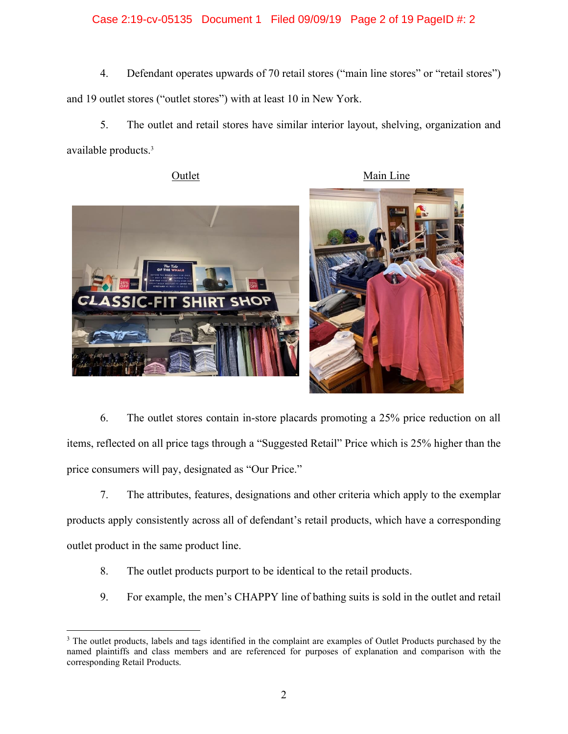## Case 2:19-cv-05135 Document 1 Filed 09/09/19 Page 2 of 19 PageID #: 2

4. Defendant operates upwards of 70 retail stores ("main line stores" or "retail stores") and 19 outlet stores ("outlet stores") with at least 10 in New York.

5. The outlet and retail stores have similar interior layout, shelving, organization and available products.3

Outlet Main Line





6. The outlet stores contain in-store placards promoting a 25% price reduction on all items, reflected on all price tags through a "Suggested Retail" Price which is 25% higher than the price consumers will pay, designated as "Our Price."

7. The attributes, features, designations and other criteria which apply to the exemplar products apply consistently across all of defendant's retail products, which have a corresponding outlet product in the same product line.

- 8. The outlet products purport to be identical to the retail products.
- 9. For example, the men's CHAPPY line of bathing suits is sold in the outlet and retail

<sup>&</sup>lt;sup>3</sup> The outlet products, labels and tags identified in the complaint are examples of Outlet Products purchased by the named plaintiffs and class members and are referenced for purposes of explanation and comparison with the corresponding Retail Products.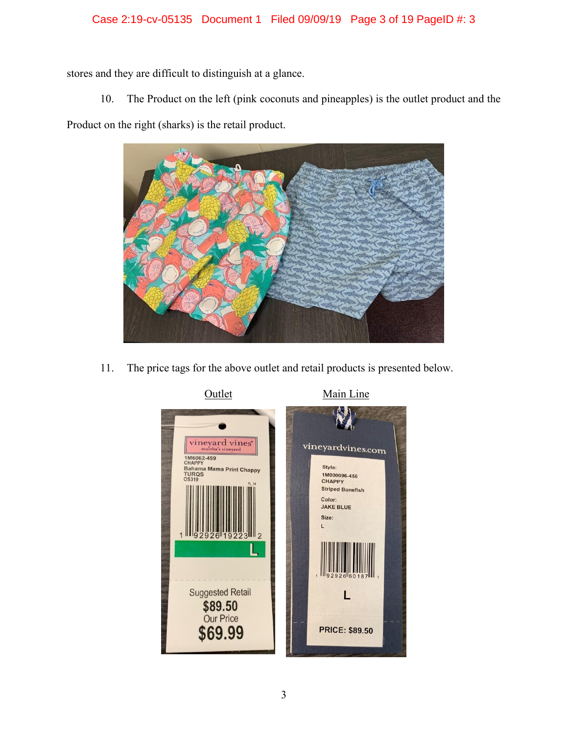stores and they are difficult to distinguish at a glance.

10. The Product on the left (pink coconuts and pineapples) is the outlet product and the Product on the right (sharks) is the retail product.



11. The price tags for the above outlet and retail products is presented below.

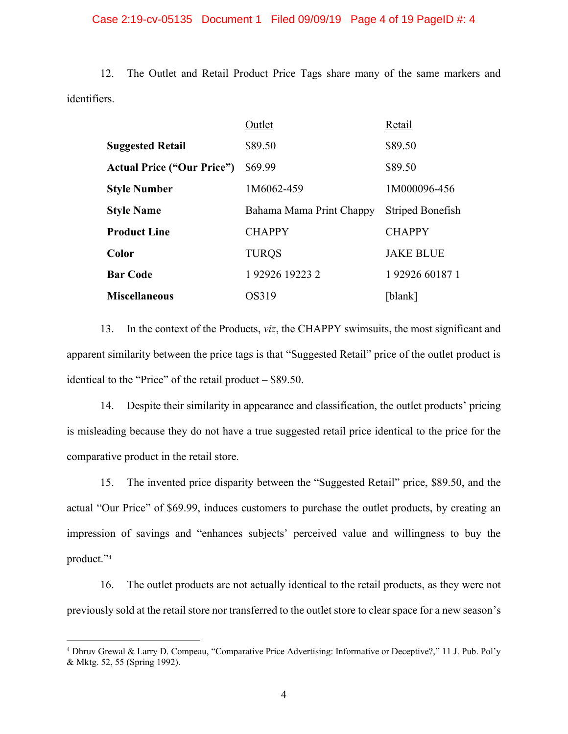### Case 2:19-cv-05135 Document 1 Filed 09/09/19 Page 4 of 19 PageID #: 4

12. The Outlet and Retail Product Price Tags share many of the same markers and identifiers.

|                                   | Outlet                   | Retail           |
|-----------------------------------|--------------------------|------------------|
| <b>Suggested Retail</b>           | \$89.50                  | \$89.50          |
| <b>Actual Price ("Our Price")</b> | \$69.99                  | \$89.50          |
| <b>Style Number</b>               | 1M6062-459               | 1M000096-456     |
| <b>Style Name</b>                 | Bahama Mama Print Chappy | Striped Bonefish |
| <b>Product Line</b>               | <b>CHAPPY</b>            | <b>CHAPPY</b>    |
| Color                             | <b>TURQS</b>             | <b>JAKE BLUE</b> |
| <b>Bar Code</b>                   | 1 92926 19223 2          | 1 92926 60187 1  |
| <b>Miscellaneous</b>              | OS319                    | blank]           |

13. In the context of the Products, *viz*, the CHAPPY swimsuits, the most significant and apparent similarity between the price tags is that "Suggested Retail" price of the outlet product is identical to the "Price" of the retail product – \$89.50.

14. Despite their similarity in appearance and classification, the outlet products' pricing is misleading because they do not have a true suggested retail price identical to the price for the comparative product in the retail store.

15. The invented price disparity between the "Suggested Retail" price, \$89.50, and the actual "Our Price" of \$69.99, induces customers to purchase the outlet products, by creating an impression of savings and "enhances subjects' perceived value and willingness to buy the product."<sup>4</sup>

16. The outlet products are not actually identical to the retail products, as they were not previously sold at the retail store nor transferred to the outlet store to clear space for a new season's

<sup>4</sup> Dhruv Grewal & Larry D. Compeau, "Comparative Price Advertising: Informative or Deceptive?," 11 J. Pub. Pol'y & Mktg. 52, 55 (Spring 1992).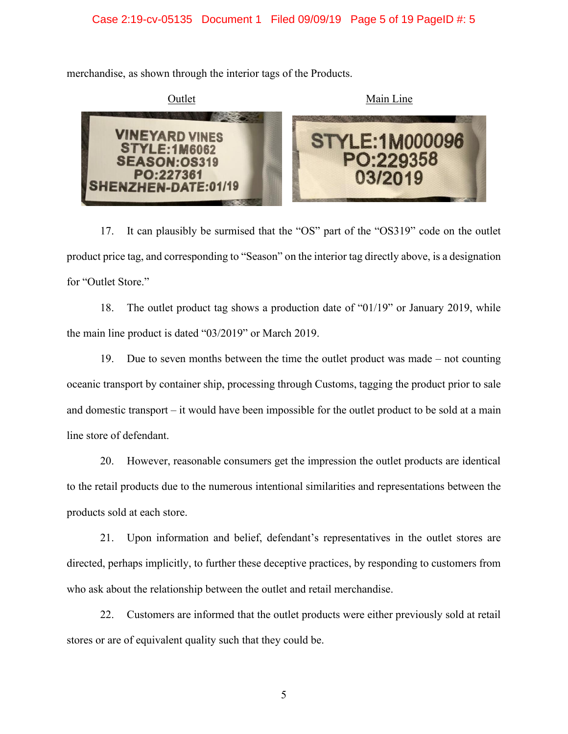## Case 2:19-cv-05135 Document 1 Filed 09/09/19 Page 5 of 19 PageID #: 5



merchandise, as shown through the interior tags of the Products.

17. It can plausibly be surmised that the "OS" part of the "OS319" code on the outlet product price tag, and corresponding to "Season" on the interior tag directly above, is a designation for "Outlet Store."

18. The outlet product tag shows a production date of "01/19" or January 2019, while the main line product is dated "03/2019" or March 2019.

19. Due to seven months between the time the outlet product was made – not counting oceanic transport by container ship, processing through Customs, tagging the product prior to sale and domestic transport – it would have been impossible for the outlet product to be sold at a main line store of defendant.

20. However, reasonable consumers get the impression the outlet products are identical to the retail products due to the numerous intentional similarities and representations between the products sold at each store.

21. Upon information and belief, defendant's representatives in the outlet stores are directed, perhaps implicitly, to further these deceptive practices, by responding to customers from who ask about the relationship between the outlet and retail merchandise.

22. Customers are informed that the outlet products were either previously sold at retail stores or are of equivalent quality such that they could be.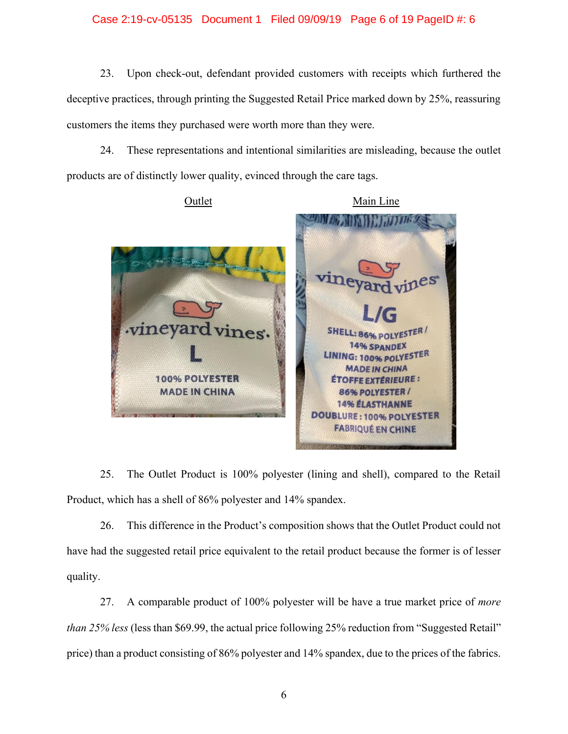### Case 2:19-cv-05135 Document 1 Filed 09/09/19 Page 6 of 19 PageID #: 6

23. Upon check-out, defendant provided customers with receipts which furthered the deceptive practices, through printing the Suggested Retail Price marked down by 25%, reassuring customers the items they purchased were worth more than they were.

24. These representations and intentional similarities are misleading, because the outlet products are of distinctly lower quality, evinced through the care tags.



25. The Outlet Product is 100% polyester (lining and shell), compared to the Retail Product, which has a shell of 86% polyester and 14% spandex.

26. This difference in the Product's composition shows that the Outlet Product could not have had the suggested retail price equivalent to the retail product because the former is of lesser quality.

27. A comparable product of 100% polyester will be have a true market price of *more than 25% less* (less than \$69.99, the actual price following 25% reduction from "Suggested Retail" price) than a product consisting of 86% polyester and 14% spandex, due to the prices of the fabrics.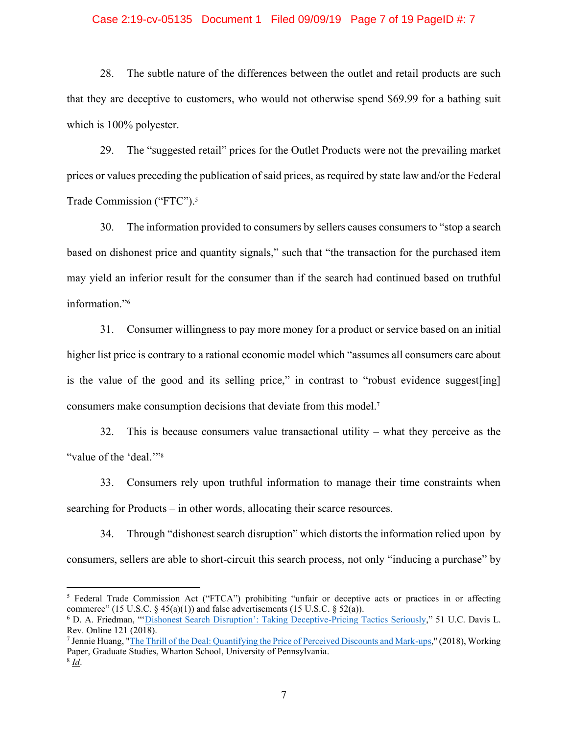#### Case 2:19-cv-05135 Document 1 Filed 09/09/19 Page 7 of 19 PageID #: 7

28. The subtle nature of the differences between the outlet and retail products are such that they are deceptive to customers, who would not otherwise spend \$69.99 for a bathing suit which is  $100\%$  polyester.

29. The "suggested retail" prices for the Outlet Products were not the prevailing market prices or values preceding the publication of said prices, as required by state law and/or the Federal Trade Commission ("FTC").<sup>5</sup>

30. The information provided to consumers by sellers causes consumers to "stop a search based on dishonest price and quantity signals," such that "the transaction for the purchased item may yield an inferior result for the consumer than if the search had continued based on truthful information."<sup>6</sup>

31. Consumer willingness to pay more money for a product or service based on an initial higher list price is contrary to a rational economic model which "assumes all consumers care about is the value of the good and its selling price," in contrast to "robust evidence suggest[ing] consumers make consumption decisions that deviate from this model.7

32. This is because consumers value transactional utility – what they perceive as the "value of the 'deal."<sup>38</sup>

33. Consumers rely upon truthful information to manage their time constraints when searching for Products – in other words, allocating their scarce resources.

34. Through "dishonest search disruption" which distorts the information relied upon by consumers, sellers are able to short-circuit this search process, not only "inducing a purchase" by

<sup>&</sup>lt;sup>5</sup> Federal Trade Commission Act ("FTCA") prohibiting "unfair or deceptive acts or practices in or affecting commerce" (15 U.S.C.  $\&$  45(a)(1)) and false advertisements (15 U.S.C.  $\&$  52(a)).

<sup>6</sup> D. A. Friedman, "'Dishonest Search Disruption'[: Taking Deceptive-Pricing Tactics Seriously,](https://papers.ssrn.com/sol3/papers.cfm?abstract_id=3101964)" 51 U.C. Davis L. Rev. Online 121 (2018).

<sup>7</sup> Jennie Huang, ["The Thrill of the Deal: Quantifying the Price of Perceived Discounts and Mark-ups,](https://marketing.wharton.upenn.edu/wp-content/uploads/2018/09/09.20.2018-Huang-Jennie-PAPER-ThrilloftheDeal_JennieHuang.pdf)" (2018), Working Paper, Graduate Studies, Wharton School, University of Pennsylvania.  $8$   $Id$ .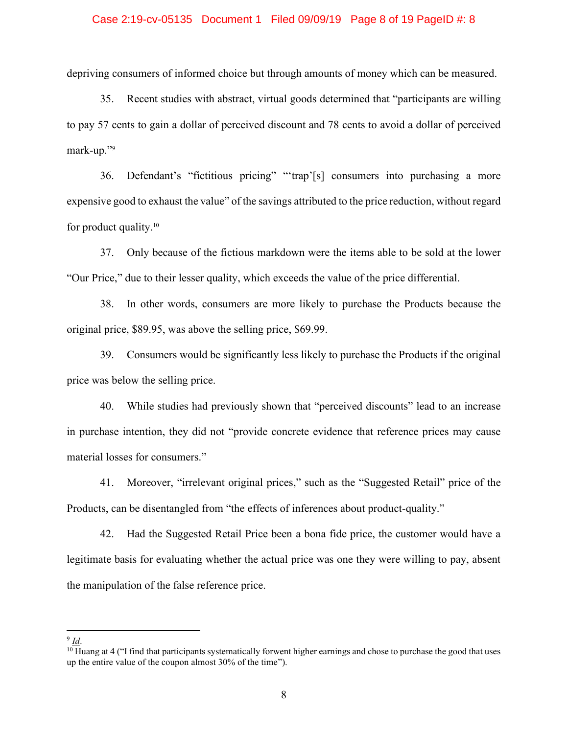#### Case 2:19-cv-05135 Document 1 Filed 09/09/19 Page 8 of 19 PageID #: 8

depriving consumers of informed choice but through amounts of money which can be measured.

35. Recent studies with abstract, virtual goods determined that "participants are willing to pay 57 cents to gain a dollar of perceived discount and 78 cents to avoid a dollar of perceived mark-up."9

36. Defendant's "fictitious pricing" "'trap'[s] consumers into purchasing a more expensive good to exhaust the value" of the savings attributed to the price reduction, without regard for product quality.10

37. Only because of the fictious markdown were the items able to be sold at the lower "Our Price," due to their lesser quality, which exceeds the value of the price differential.

38. In other words, consumers are more likely to purchase the Products because the original price, \$89.95, was above the selling price, \$69.99.

39. Consumers would be significantly less likely to purchase the Products if the original price was below the selling price.

40. While studies had previously shown that "perceived discounts" lead to an increase in purchase intention, they did not "provide concrete evidence that reference prices may cause material losses for consumers."

41. Moreover, "irrelevant original prices," such as the "Suggested Retail" price of the Products, can be disentangled from "the effects of inferences about product-quality."

42. Had the Suggested Retail Price been a bona fide price, the customer would have a legitimate basis for evaluating whether the actual price was one they were willing to pay, absent the manipulation of the false reference price.

<sup>9</sup> *Id*.

 $10$  Huang at 4 ( $\degree$ I find that participants systematically forwent higher earnings and chose to purchase the good that uses up the entire value of the coupon almost 30% of the time").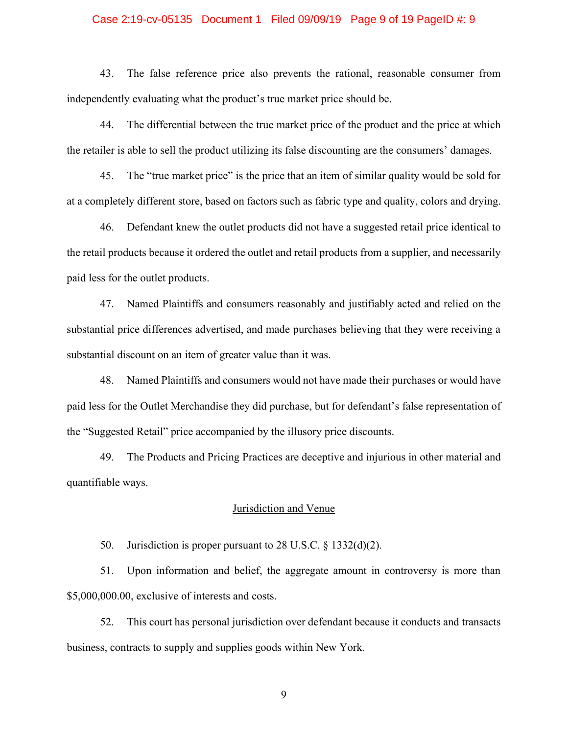#### Case 2:19-cv-05135 Document 1 Filed 09/09/19 Page 9 of 19 PageID #: 9

43. The false reference price also prevents the rational, reasonable consumer from independently evaluating what the product's true market price should be.

44. The differential between the true market price of the product and the price at which the retailer is able to sell the product utilizing its false discounting are the consumers' damages.

45. The "true market price" is the price that an item of similar quality would be sold for at a completely different store, based on factors such as fabric type and quality, colors and drying.

46. Defendant knew the outlet products did not have a suggested retail price identical to the retail products because it ordered the outlet and retail products from a supplier, and necessarily paid less for the outlet products.

47. Named Plaintiffs and consumers reasonably and justifiably acted and relied on the substantial price differences advertised, and made purchases believing that they were receiving a substantial discount on an item of greater value than it was.

48. Named Plaintiffs and consumers would not have made their purchases or would have paid less for the Outlet Merchandise they did purchase, but for defendant's false representation of the "Suggested Retail" price accompanied by the illusory price discounts.

49. The Products and Pricing Practices are deceptive and injurious in other material and quantifiable ways.

### Jurisdiction and Venue

50. Jurisdiction is proper pursuant to 28 U.S.C. § 1332(d)(2).

51. Upon information and belief, the aggregate amount in controversy is more than \$5,000,000.00, exclusive of interests and costs.

52. This court has personal jurisdiction over defendant because it conducts and transacts business, contracts to supply and supplies goods within New York.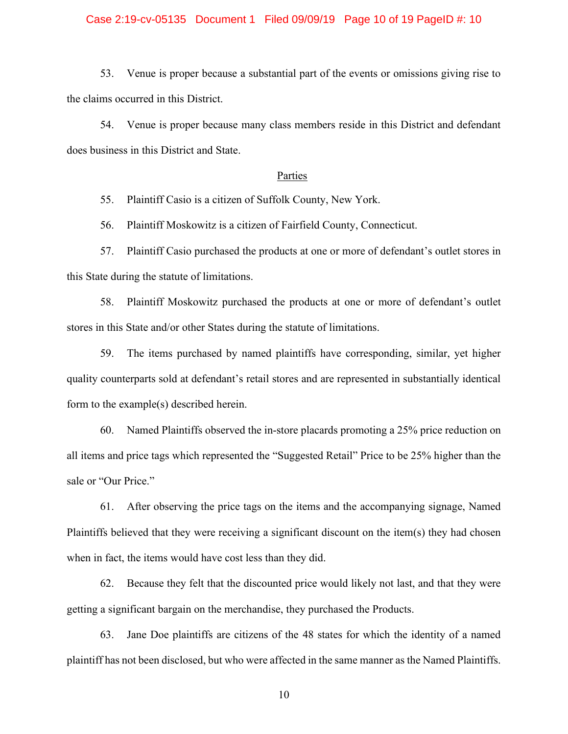# Case 2:19-cv-05135 Document 1 Filed 09/09/19 Page 10 of 19 PageID #: 10

53. Venue is proper because a substantial part of the events or omissions giving rise to the claims occurred in this District.

54. Venue is proper because many class members reside in this District and defendant does business in this District and State.

### Parties

55. Plaintiff Casio is a citizen of Suffolk County, New York.

56. Plaintiff Moskowitz is a citizen of Fairfield County, Connecticut.

57. Plaintiff Casio purchased the products at one or more of defendant's outlet stores in this State during the statute of limitations.

58. Plaintiff Moskowitz purchased the products at one or more of defendant's outlet stores in this State and/or other States during the statute of limitations.

59. The items purchased by named plaintiffs have corresponding, similar, yet higher quality counterparts sold at defendant's retail stores and are represented in substantially identical form to the example(s) described herein.

60. Named Plaintiffs observed the in-store placards promoting a 25% price reduction on all items and price tags which represented the "Suggested Retail" Price to be 25% higher than the sale or "Our Price."

61. After observing the price tags on the items and the accompanying signage, Named Plaintiffs believed that they were receiving a significant discount on the item(s) they had chosen when in fact, the items would have cost less than they did.

62. Because they felt that the discounted price would likely not last, and that they were getting a significant bargain on the merchandise, they purchased the Products.

63. Jane Doe plaintiffs are citizens of the 48 states for which the identity of a named plaintiff has not been disclosed, but who were affected in the same manner as the Named Plaintiffs.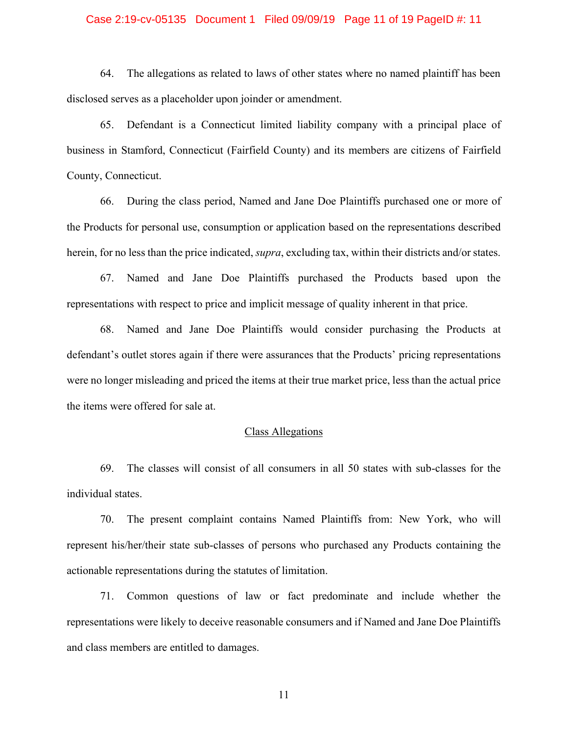#### Case 2:19-cv-05135 Document 1 Filed 09/09/19 Page 11 of 19 PageID #: 11

64. The allegations as related to laws of other states where no named plaintiff has been disclosed serves as a placeholder upon joinder or amendment.

65. Defendant is a Connecticut limited liability company with a principal place of business in Stamford, Connecticut (Fairfield County) and its members are citizens of Fairfield County, Connecticut.

66. During the class period, Named and Jane Doe Plaintiffs purchased one or more of the Products for personal use, consumption or application based on the representations described herein, for no less than the price indicated, *supra*, excluding tax, within their districts and/or states.

67. Named and Jane Doe Plaintiffs purchased the Products based upon the representations with respect to price and implicit message of quality inherent in that price.

68. Named and Jane Doe Plaintiffs would consider purchasing the Products at defendant's outlet stores again if there were assurances that the Products' pricing representations were no longer misleading and priced the items at their true market price, less than the actual price the items were offered for sale at.

## Class Allegations

69. The classes will consist of all consumers in all 50 states with sub-classes for the individual states.

70. The present complaint contains Named Plaintiffs from: New York, who will represent his/her/their state sub-classes of persons who purchased any Products containing the actionable representations during the statutes of limitation.

71. Common questions of law or fact predominate and include whether the representations were likely to deceive reasonable consumers and if Named and Jane Doe Plaintiffs and class members are entitled to damages.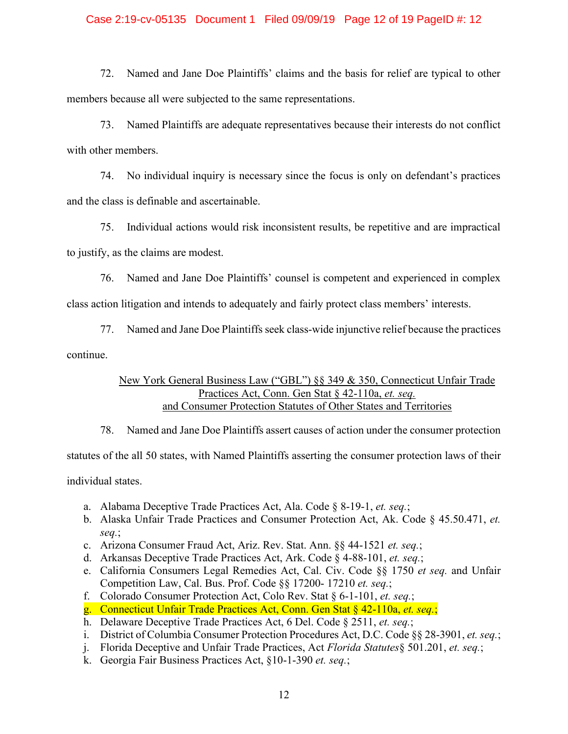## Case 2:19-cv-05135 Document 1 Filed 09/09/19 Page 12 of 19 PageID #: 12

72. Named and Jane Doe Plaintiffs' claims and the basis for relief are typical to other members because all were subjected to the same representations.

73. Named Plaintiffs are adequate representatives because their interests do not conflict with other members.

74. No individual inquiry is necessary since the focus is only on defendant's practices and the class is definable and ascertainable.

75. Individual actions would risk inconsistent results, be repetitive and are impractical to justify, as the claims are modest.

76. Named and Jane Doe Plaintiffs' counsel is competent and experienced in complex

class action litigation and intends to adequately and fairly protect class members' interests.

77. Named and Jane Doe Plaintiffs seek class-wide injunctive relief because the practices continue.

# New York General Business Law ("GBL") §§ 349 & 350, Connecticut Unfair Trade Practices Act, Conn. Gen Stat § 42-110a, *et. seq.* and Consumer Protection Statutes of Other States and Territories

78. Named and Jane Doe Plaintiffs assert causes of action under the consumer protection

statutes of the all 50 states, with Named Plaintiffs asserting the consumer protection laws of their

individual states.

- a. Alabama Deceptive Trade Practices Act, Ala. Code § 8-19-1, *et. seq.*;
- b. Alaska Unfair Trade Practices and Consumer Protection Act, Ak. Code § 45.50.471, *et. seq.*;
- c. Arizona Consumer Fraud Act, Ariz. Rev. Stat. Ann. §§ 44-1521 *et. seq.*;
- d. Arkansas Deceptive Trade Practices Act, Ark. Code § 4-88-101, *et. seq.*;
- e. California Consumers Legal Remedies Act, Cal. Civ. Code §§ 1750 *et seq.* and Unfair Competition Law, Cal. Bus. Prof. Code §§ 17200- 17210 *et. seq.*;
- f. Colorado Consumer Protection Act, Colo Rev. Stat § 6-1-101, *et. seq.*;
- g. Connecticut Unfair Trade Practices Act, Conn. Gen Stat § 42-110a, *et. seq.*;
- h. Delaware Deceptive Trade Practices Act, 6 Del. Code § 2511, *et. seq.*;
- i. District of Columbia Consumer Protection Procedures Act, D.C. Code §§ 28-3901, *et. seq.*;
- j. Florida Deceptive and Unfair Trade Practices, Act *Florida Statutes*§ 501.201, *et. seq.*;
- k. Georgia Fair Business Practices Act, §10-1-390 *et. seq.*;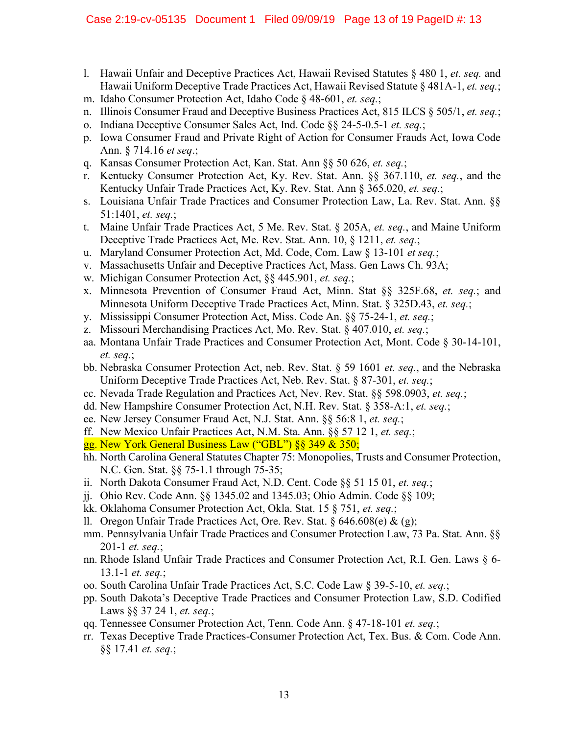# Case 2:19-cv-05135 Document 1 Filed 09/09/19 Page 13 of 19 PageID #: 13

- l. Hawaii Unfair and Deceptive Practices Act, Hawaii Revised Statutes § 480 1, *et. seq.* and Hawaii Uniform Deceptive Trade Practices Act, Hawaii Revised Statute § 481A-1, *et. seq.*;
- m. Idaho Consumer Protection Act, Idaho Code § 48-601, *et. seq.*;
- n. Illinois Consumer Fraud and Deceptive Business Practices Act, 815 ILCS § 505/1, *et. seq.*;
- o. Indiana Deceptive Consumer Sales Act, Ind. Code §§ 24-5-0.5-1 *et. seq.*;
- p. Iowa Consumer Fraud and Private Right of Action for Consumer Frauds Act, Iowa Code Ann. § 714.16 *et seq*.;
- q. Kansas Consumer Protection Act, Kan. Stat. Ann §§ 50 626, *et. seq.*;
- r. Kentucky Consumer Protection Act, Ky. Rev. Stat. Ann. §§ 367.110, *et. seq.*, and the Kentucky Unfair Trade Practices Act, Ky. Rev. Stat. Ann § 365.020, *et. seq.*;
- s. Louisiana Unfair Trade Practices and Consumer Protection Law, La. Rev. Stat. Ann. §§ 51:1401, *et. seq.*;
- t. Maine Unfair Trade Practices Act, 5 Me. Rev. Stat. § 205A, *et. seq.*, and Maine Uniform Deceptive Trade Practices Act, Me. Rev. Stat. Ann. 10, § 1211, *et. seq.*;
- u. Maryland Consumer Protection Act, Md. Code, Com. Law § 13-101 *et seq.*;
- v. Massachusetts Unfair and Deceptive Practices Act, Mass. Gen Laws Ch. 93A;
- w. Michigan Consumer Protection Act, §§ 445.901, *et. seq.*;
- x. Minnesota Prevention of Consumer Fraud Act, Minn. Stat §§ 325F.68, *et. seq.*; and Minnesota Uniform Deceptive Trade Practices Act, Minn. Stat. § 325D.43, *et. seq.*;
- y. Mississippi Consumer Protection Act, Miss. Code An. §§ 75-24-1, *et. seq.*;
- z. Missouri Merchandising Practices Act, Mo. Rev. Stat. § 407.010, *et. seq.*;
- aa. Montana Unfair Trade Practices and Consumer Protection Act, Mont. Code § 30-14-101, *et. seq.*;
- bb. Nebraska Consumer Protection Act, neb. Rev. Stat. § 59 1601 *et. seq.*, and the Nebraska Uniform Deceptive Trade Practices Act, Neb. Rev. Stat. § 87-301, *et. seq.*;
- cc. Nevada Trade Regulation and Practices Act, Nev. Rev. Stat. §§ 598.0903, *et. seq.*;
- dd. New Hampshire Consumer Protection Act, N.H. Rev. Stat. § 358-A:1, *et. seq.*;
- ee. New Jersey Consumer Fraud Act, N.J. Stat. Ann. §§ 56:8 1, *et. seq.*;
- ff. New Mexico Unfair Practices Act, N.M. Sta. Ann. §§ 57 12 1, *et. seq.*;
- gg. New York General Business Law ("GBL") §§ 349 & 350;
- hh. North Carolina General Statutes Chapter 75: Monopolies, Trusts and Consumer Protection, N.C. Gen. Stat. §§ 75-1.1 through 75-35;
- ii. North Dakota Consumer Fraud Act, N.D. Cent. Code §§ 51 15 01, *et. seq.*;
- jj. Ohio Rev. Code Ann. §§ 1345.02 and 1345.03; Ohio Admin. Code §§ 109;
- kk. Oklahoma Consumer Protection Act, Okla. Stat. 15 § 751, *et. seq.*;
- ll. Oregon Unfair Trade Practices Act, Ore. Rev. Stat. § 646.608(e) & (g);
- mm. Pennsylvania Unfair Trade Practices and Consumer Protection Law, 73 Pa. Stat. Ann. §§ 201-1 *et. seq.*;
- nn. Rhode Island Unfair Trade Practices and Consumer Protection Act, R.I. Gen. Laws § 6- 13.1-1 *et. seq.*;
- oo. South Carolina Unfair Trade Practices Act, S.C. Code Law § 39-5-10, *et. seq.*;
- pp. South Dakota's Deceptive Trade Practices and Consumer Protection Law, S.D. Codified Laws §§ 37 24 1, *et. seq.*;
- qq. Tennessee Consumer Protection Act, Tenn. Code Ann. § 47-18-101 *et. seq.*;
- rr. Texas Deceptive Trade Practices-Consumer Protection Act, Tex. Bus. & Com. Code Ann. §§ 17.41 *et. seq.*;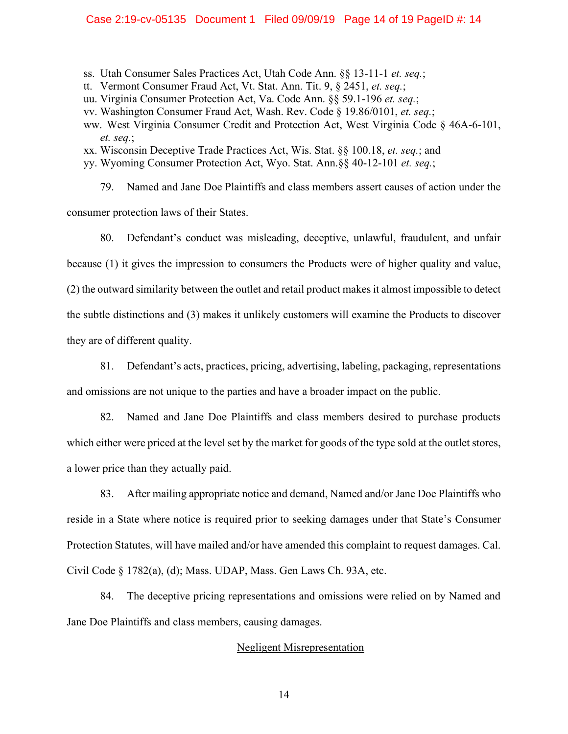#### Case 2:19-cv-05135 Document 1 Filed 09/09/19 Page 14 of 19 PageID #: 14

- ss. Utah Consumer Sales Practices Act, Utah Code Ann. §§ 13-11-1 *et. seq.*;
- tt. Vermont Consumer Fraud Act, Vt. Stat. Ann. Tit. 9, § 2451, *et. seq.*;
- uu. Virginia Consumer Protection Act, Va. Code Ann. §§ 59.1-196 *et. seq.*;
- vv. Washington Consumer Fraud Act, Wash. Rev. Code § 19.86/0101, *et. seq.*;
- ww. West Virginia Consumer Credit and Protection Act, West Virginia Code § 46A-6-101, *et. seq.*;
- xx. Wisconsin Deceptive Trade Practices Act, Wis. Stat. §§ 100.18, *et. seq.*; and
- yy. Wyoming Consumer Protection Act, Wyo. Stat. Ann.§§ 40-12-101 *et. seq.*;
- 79. Named and Jane Doe Plaintiffs and class members assert causes of action under the

consumer protection laws of their States.

80. Defendant's conduct was misleading, deceptive, unlawful, fraudulent, and unfair

because (1) it gives the impression to consumers the Products were of higher quality and value,

(2) the outward similarity between the outlet and retail product makes it almost impossible to detect

the subtle distinctions and (3) makes it unlikely customers will examine the Products to discover

they are of different quality.

81. Defendant's acts, practices, pricing, advertising, labeling, packaging, representations and omissions are not unique to the parties and have a broader impact on the public.

82. Named and Jane Doe Plaintiffs and class members desired to purchase products which either were priced at the level set by the market for goods of the type sold at the outlet stores, a lower price than they actually paid.

83. After mailing appropriate notice and demand, Named and/or Jane Doe Plaintiffs who reside in a State where notice is required prior to seeking damages under that State's Consumer Protection Statutes, will have mailed and/or have amended this complaint to request damages. Cal. Civil Code § 1782(a), (d); Mass. UDAP, Mass. Gen Laws Ch. 93A, etc.

84. The deceptive pricing representations and omissions were relied on by Named and Jane Doe Plaintiffs and class members, causing damages.

## Negligent Misrepresentation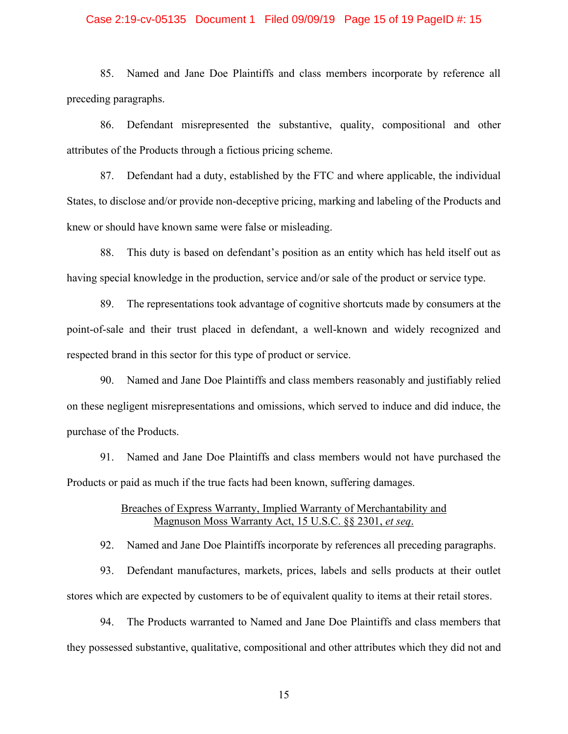### Case 2:19-cv-05135 Document 1 Filed 09/09/19 Page 15 of 19 PageID #: 15

85. Named and Jane Doe Plaintiffs and class members incorporate by reference all preceding paragraphs.

86. Defendant misrepresented the substantive, quality, compositional and other attributes of the Products through a fictious pricing scheme.

87. Defendant had a duty, established by the FTC and where applicable, the individual States, to disclose and/or provide non-deceptive pricing, marking and labeling of the Products and knew or should have known same were false or misleading.

88. This duty is based on defendant's position as an entity which has held itself out as having special knowledge in the production, service and/or sale of the product or service type.

89. The representations took advantage of cognitive shortcuts made by consumers at the point-of-sale and their trust placed in defendant, a well-known and widely recognized and respected brand in this sector for this type of product or service.

90. Named and Jane Doe Plaintiffs and class members reasonably and justifiably relied on these negligent misrepresentations and omissions, which served to induce and did induce, the purchase of the Products.

91. Named and Jane Doe Plaintiffs and class members would not have purchased the Products or paid as much if the true facts had been known, suffering damages.

## Breaches of Express Warranty, Implied Warranty of Merchantability and Magnuson Moss Warranty Act, 15 U.S.C. §§ 2301, *et seq*.

92. Named and Jane Doe Plaintiffs incorporate by references all preceding paragraphs.

93. Defendant manufactures, markets, prices, labels and sells products at their outlet stores which are expected by customers to be of equivalent quality to items at their retail stores.

94. The Products warranted to Named and Jane Doe Plaintiffs and class members that they possessed substantive, qualitative, compositional and other attributes which they did not and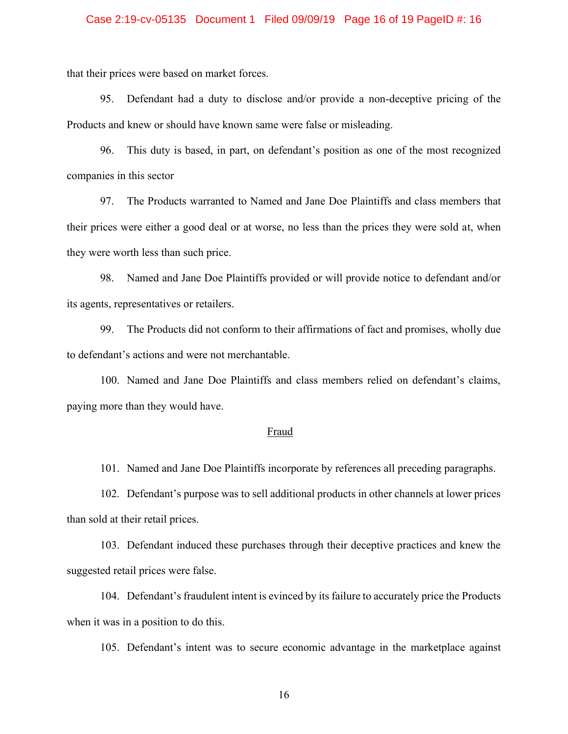# Case 2:19-cv-05135 Document 1 Filed 09/09/19 Page 16 of 19 PageID #: 16

that their prices were based on market forces.

95. Defendant had a duty to disclose and/or provide a non-deceptive pricing of the Products and knew or should have known same were false or misleading.

96. This duty is based, in part, on defendant's position as one of the most recognized companies in this sector

97. The Products warranted to Named and Jane Doe Plaintiffs and class members that their prices were either a good deal or at worse, no less than the prices they were sold at, when they were worth less than such price.

98. Named and Jane Doe Plaintiffs provided or will provide notice to defendant and/or its agents, representatives or retailers.

99. The Products did not conform to their affirmations of fact and promises, wholly due to defendant's actions and were not merchantable.

100. Named and Jane Doe Plaintiffs and class members relied on defendant's claims, paying more than they would have.

### Fraud

101. Named and Jane Doe Plaintiffs incorporate by references all preceding paragraphs.

102. Defendant's purpose was to sell additional products in other channels at lower prices than sold at their retail prices.

103. Defendant induced these purchases through their deceptive practices and knew the suggested retail prices were false.

104. Defendant's fraudulent intent is evinced by its failure to accurately price the Products when it was in a position to do this.

105. Defendant's intent was to secure economic advantage in the marketplace against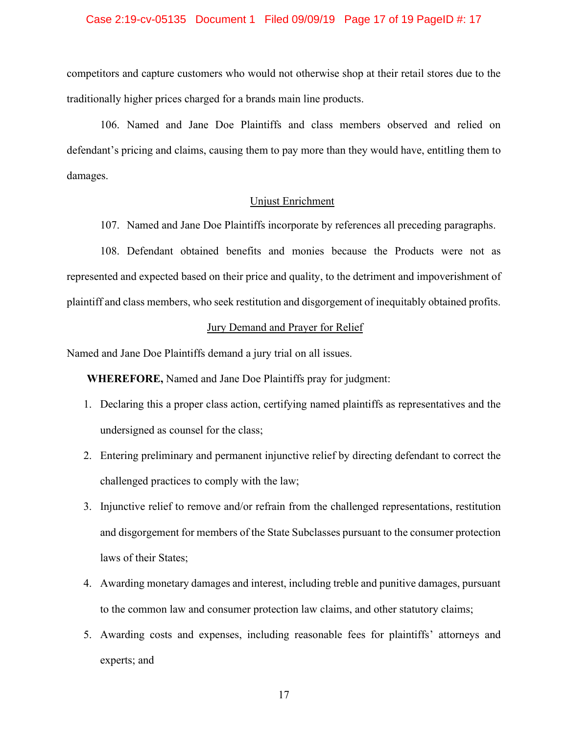#### Case 2:19-cv-05135 Document 1 Filed 09/09/19 Page 17 of 19 PageID #: 17

competitors and capture customers who would not otherwise shop at their retail stores due to the traditionally higher prices charged for a brands main line products.

106. Named and Jane Doe Plaintiffs and class members observed and relied on defendant's pricing and claims, causing them to pay more than they would have, entitling them to damages.

## Unjust Enrichment

107. Named and Jane Doe Plaintiffs incorporate by references all preceding paragraphs.

108. Defendant obtained benefits and monies because the Products were not as represented and expected based on their price and quality, to the detriment and impoverishment of plaintiff and class members, who seek restitution and disgorgement of inequitably obtained profits.

### Jury Demand and Prayer for Relief

Named and Jane Doe Plaintiffs demand a jury trial on all issues.

**WHEREFORE,** Named and Jane Doe Plaintiffs pray for judgment:

- 1. Declaring this a proper class action, certifying named plaintiffs as representatives and the undersigned as counsel for the class;
- 2. Entering preliminary and permanent injunctive relief by directing defendant to correct the challenged practices to comply with the law;
- 3. Injunctive relief to remove and/or refrain from the challenged representations, restitution and disgorgement for members of the State Subclasses pursuant to the consumer protection laws of their States;
- 4. Awarding monetary damages and interest, including treble and punitive damages, pursuant to the common law and consumer protection law claims, and other statutory claims;
- 5. Awarding costs and expenses, including reasonable fees for plaintiffs' attorneys and experts; and